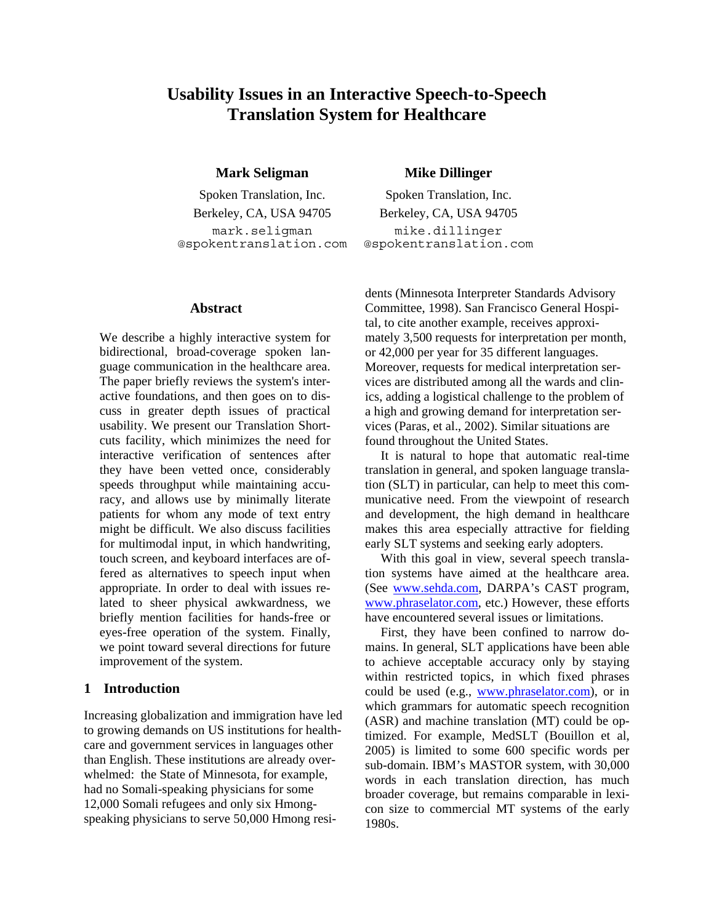# **Usability Issues in an Interactive Speech-to-Speech Translation System for Healthcare**

**Mark Seligman Mike Dillinger** 

Spoken Translation, Inc. Spoken Translation, Inc. Berkeley, CA, USA 94705 Berkeley, CA, USA 94705 mark.seligman @spokentranslation.com

#### **Abstract**

We describe a highly interactive system for bidirectional, broad-coverage spoken language communication in the healthcare area. The paper briefly reviews the system's interactive foundations, and then goes on to discuss in greater depth issues of practical usability. We present our Translation Shortcuts facility, which minimizes the need for interactive verification of sentences after they have been vetted once, considerably speeds throughput while maintaining accuracy, and allows use by minimally literate patients for whom any mode of text entry might be difficult. We also discuss facilities for multimodal input, in which handwriting, touch screen, and keyboard interfaces are offered as alternatives to speech input when appropriate. In order to deal with issues related to sheer physical awkwardness, we briefly mention facilities for hands-free or eyes-free operation of the system. Finally, we point toward several directions for future improvement of the system.

#### **1 Introduction**

Increasing globalization and immigration have led to growing demands on US institutions for healthcare and government services in languages other than English. These institutions are already overwhelmed: the State of Minnesota, for example, had no Somali-speaking physicians for some 12,000 Somali refugees and only six Hmongspeaking physicians to serve 50,000 Hmong resi-

mike.dillinger @spokentranslation.com

dents (Minnesota Interpreter Standards Advisory Committee, 1998). San Francisco General Hospital, to cite another example, receives approximately 3,500 requests for interpretation per month, or 42,000 per year for 35 different languages. Moreover, requests for medical interpretation services are distributed among all the wards and clinics, adding a logistical challenge to the problem of a high and growing demand for interpretation services (Paras, et al., 2002). Similar situations are found throughout the United States.

It is natural to hope that automatic real-time translation in general, and spoken language translation (SLT) in particular, can help to meet this communicative need. From the viewpoint of research and development, the high demand in healthcare makes this area especially attractive for fielding early SLT systems and seeking early adopters.

With this goal in view, several speech translation systems have aimed at the healthcare area. (See [www.sehda.com,](http://www.sehda.com/) DARPA's CAST program, [www.phraselator.com](http://www.phraselator.com/), etc.) However, these efforts have encountered several issues or limitations.

First, they have been confined to narrow domains. In general, SLT applications have been able to achieve acceptable accuracy only by staying within restricted topics, in which fixed phrases could be used (e.g., [www.phraselator.com](http://www.phraselator.com/)), or in which grammars for automatic speech recognition (ASR) and machine translation (MT) could be optimized. For example, MedSLT (Bouillon et al, 2005) is limited to some 600 specific words per sub-domain. IBM's MASTOR system, with 30,000 words in each translation direction, has much broader coverage, but remains comparable in lexicon size to commercial MT systems of the early 1980s.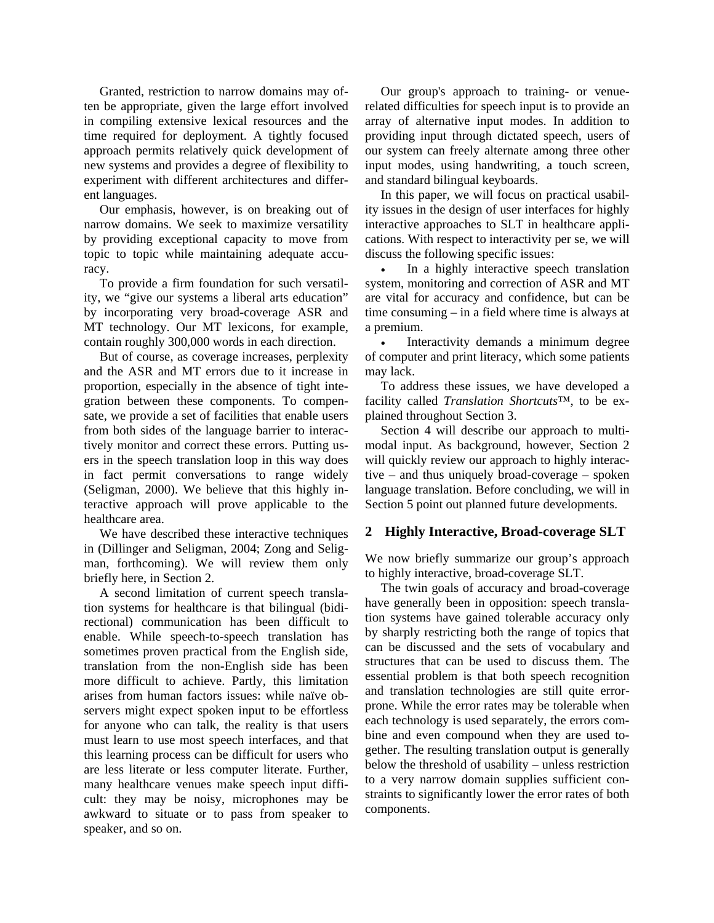Granted, restriction to narrow domains may often be appropriate, given the large effort involved in compiling extensive lexical resources and the time required for deployment. A tightly focused approach permits relatively quick development of new systems and provides a degree of flexibility to experiment with different architectures and different languages.

Our emphasis, however, is on breaking out of narrow domains. We seek to maximize versatility by providing exceptional capacity to move from topic to topic while maintaining adequate accuracy.

To provide a firm foundation for such versatility, we "give our systems a liberal arts education" by incorporating very broad-coverage ASR and MT technology. Our MT lexicons, for example, contain roughly 300,000 words in each direction.

But of course, as coverage increases, perplexity and the ASR and MT errors due to it increase in proportion, especially in the absence of tight integration between these components. To compensate, we provide a set of facilities that enable users from both sides of the language barrier to interactively monitor and correct these errors. Putting users in the speech translation loop in this way does in fact permit conversations to range widely (Seligman, 2000). We believe that this highly interactive approach will prove applicable to the healthcare area.

We have described these interactive techniques in (Dillinger and Seligman, 2004; Zong and Seligman, forthcoming). We will review them only briefly here, in Section 2.

A second limitation of current speech translation systems for healthcare is that bilingual (bidirectional) communication has been difficult to enable. While speech-to-speech translation has sometimes proven practical from the English side, translation from the non-English side has been more difficult to achieve. Partly, this limitation arises from human factors issues: while naïve observers might expect spoken input to be effortless for anyone who can talk, the reality is that users must learn to use most speech interfaces, and that this learning process can be difficult for users who are less literate or less computer literate. Further, many healthcare venues make speech input difficult: they may be noisy, microphones may be awkward to situate or to pass from speaker to speaker, and so on.

Our group's approach to training- or venuerelated difficulties for speech input is to provide an array of alternative input modes. In addition to providing input through dictated speech, users of our system can freely alternate among three other input modes, using handwriting, a touch screen, and standard bilingual keyboards.

In this paper, we will focus on practical usability issues in the design of user interfaces for highly interactive approaches to SLT in healthcare applications. With respect to interactivity per se, we will discuss the following specific issues:

In a highly interactive speech translation system, monitoring and correction of ASR and MT are vital for accuracy and confidence, but can be time consuming – in a field where time is always at a premium.

Interactivity demands a minimum degree of computer and print literacy, which some patients may lack.

To address these issues, we have developed a facility called *Translation Shortcuts*™, to be explained throughout Section 3.

Section 4 will describe our approach to multimodal input. As background, however, Section 2 will quickly review our approach to highly interactive – and thus uniquely broad-coverage – spoken language translation. Before concluding, we will in Section 5 point out planned future developments.

## **2 Highly Interactive, Broad-coverage SLT**

We now briefly summarize our group's approach to highly interactive, broad-coverage SLT.

The twin goals of accuracy and broad-coverage have generally been in opposition: speech translation systems have gained tolerable accuracy only by sharply restricting both the range of topics that can be discussed and the sets of vocabulary and structures that can be used to discuss them. The essential problem is that both speech recognition and translation technologies are still quite errorprone. While the error rates may be tolerable when each technology is used separately, the errors combine and even compound when they are used together. The resulting translation output is generally below the threshold of usability – unless restriction to a very narrow domain supplies sufficient constraints to significantly lower the error rates of both components.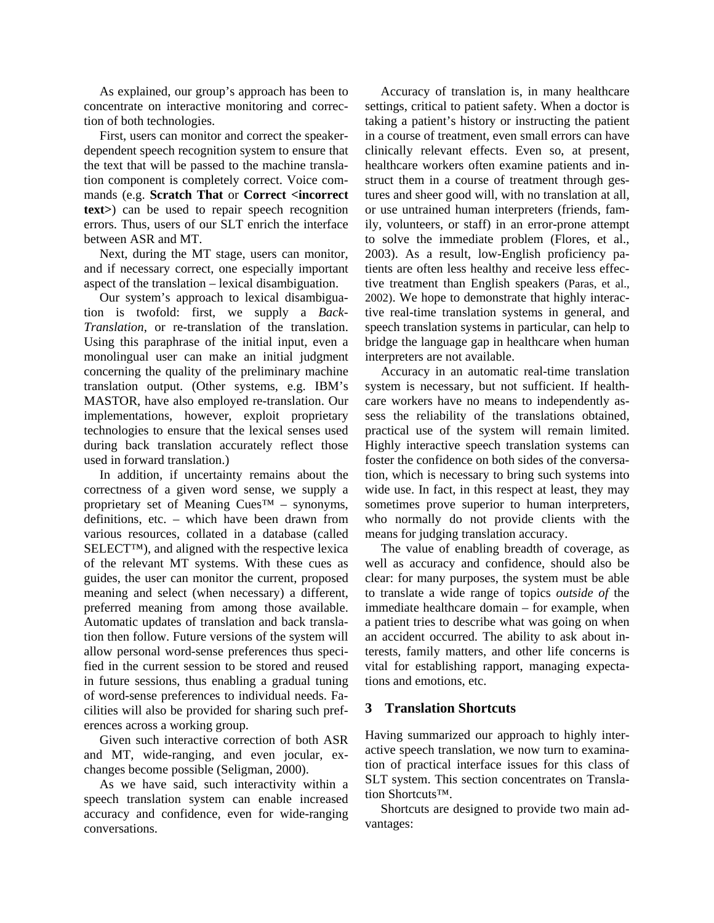As explained, our group's approach has been to concentrate on interactive monitoring and correction of both technologies.

First, users can monitor and correct the speakerdependent speech recognition system to ensure that the text that will be passed to the machine translation component is completely correct. Voice commands (e.g. **Scratch That** or **Correct <incorrect text>**) can be used to repair speech recognition errors. Thus, users of our SLT enrich the interface between ASR and MT.

Next, during the MT stage, users can monitor, and if necessary correct, one especially important aspect of the translation – lexical disambiguation.

Our system's approach to lexical disambiguation is twofold: first, we supply a *Back-Translation*, or re-translation of the translation. Using this paraphrase of the initial input, even a monolingual user can make an initial judgment concerning the quality of the preliminary machine translation output. (Other systems, e.g. IBM's MASTOR, have also employed re-translation. Our implementations, however, exploit proprietary technologies to ensure that the lexical senses used during back translation accurately reflect those used in forward translation.)

In addition, if uncertainty remains about the correctness of a given word sense, we supply a proprietary set of Meaning  $Cues^{TM}$  – synonyms, definitions, etc. – which have been drawn from various resources, collated in a database (called SELECT™), and aligned with the respective lexica of the relevant MT systems. With these cues as guides, the user can monitor the current, proposed meaning and select (when necessary) a different, preferred meaning from among those available. Automatic updates of translation and back translation then follow. Future versions of the system will allow personal word-sense preferences thus specified in the current session to be stored and reused in future sessions, thus enabling a gradual tuning of word-sense preferences to individual needs. Facilities will also be provided for sharing such preferences across a working group.

Given such interactive correction of both ASR and MT, wide-ranging, and even jocular, exchanges become possible (Seligman, 2000).

As we have said, such interactivity within a speech translation system can enable increased accuracy and confidence, even for wide-ranging conversations.

Accuracy of translation is, in many healthcare settings, critical to patient safety. When a doctor is taking a patient's history or instructing the patient in a course of treatment, even small errors can have clinically relevant effects. Even so, at present, healthcare workers often examine patients and instruct them in a course of treatment through gestures and sheer good will, with no translation at all, or use untrained human interpreters (friends, family, volunteers, or staff) in an error-prone attempt to solve the immediate problem (Flores, et al., 2003). As a result, low-English proficiency patients are often less healthy and receive less effective treatment than English speakers (Paras, et al., 2002). We hope to demonstrate that highly interactive real-time translation systems in general, and speech translation systems in particular, can help to bridge the language gap in healthcare when human interpreters are not available.

Accuracy in an automatic real-time translation system is necessary, but not sufficient. If healthcare workers have no means to independently assess the reliability of the translations obtained, practical use of the system will remain limited. Highly interactive speech translation systems can foster the confidence on both sides of the conversation, which is necessary to bring such systems into wide use. In fact, in this respect at least, they may sometimes prove superior to human interpreters, who normally do not provide clients with the means for judging translation accuracy.

The value of enabling breadth of coverage, as well as accuracy and confidence, should also be clear: for many purposes, the system must be able to translate a wide range of topics *outside of* the immediate healthcare domain – for example, when a patient tries to describe what was going on when an accident occurred. The ability to ask about interests, family matters, and other life concerns is vital for establishing rapport, managing expectations and emotions, etc.

## **3 Translation Shortcuts**

Having summarized our approach to highly interactive speech translation, we now turn to examination of practical interface issues for this class of SLT system. This section concentrates on Translation Shortcuts™.

Shortcuts are designed to provide two main advantages: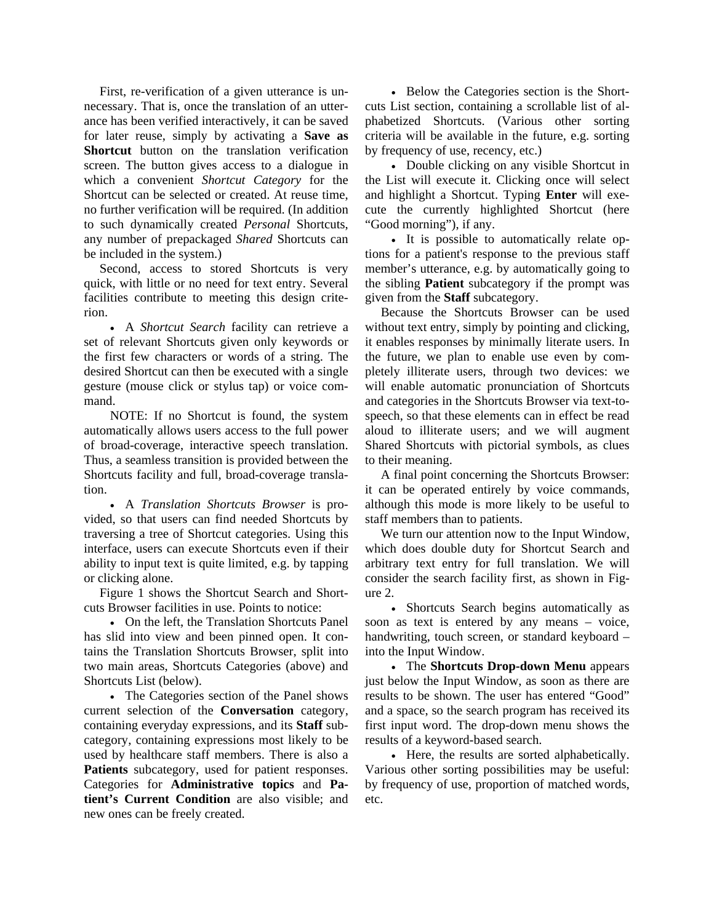First, re-verification of a given utterance is unnecessary. That is, once the translation of an utterance has been verified interactively, it can be saved for later reuse, simply by activating a **Save as Shortcut** button on the translation verification screen. The button gives access to a dialogue in which a convenient *Shortcut Category* for the Shortcut can be selected or created. At reuse time, no further verification will be required. (In addition to such dynamically created *Personal* Shortcuts, any number of prepackaged *Shared* Shortcuts can be included in the system.)

Second, access to stored Shortcuts is very quick, with little or no need for text entry. Several facilities contribute to meeting this design criterion.

• A *Shortcut Search* facility can retrieve a set of relevant Shortcuts given only keywords or the first few characters or words of a string. The desired Shortcut can then be executed with a single gesture (mouse click or stylus tap) or voice command.

NOTE: If no Shortcut is found, the system automatically allows users access to the full power of broad-coverage, interactive speech translation. Thus, a seamless transition is provided between the Shortcuts facility and full, broad-coverage translation.

• A *Translation Shortcuts Browser* is provided, so that users can find needed Shortcuts by traversing a tree of Shortcut categories. Using this interface, users can execute Shortcuts even if their ability to input text is quite limited, e.g. by tapping or clicking alone.

Figure 1 shows the Shortcut Search and Shortcuts Browser facilities in use. Points to notice:

• On the left, the Translation Shortcuts Panel has slid into view and been pinned open. It contains the Translation Shortcuts Browser, split into two main areas, Shortcuts Categories (above) and Shortcuts List (below).

• The Categories section of the Panel shows current selection of the **Conversation** category, containing everyday expressions, and its **Staff** subcategory, containing expressions most likely to be used by healthcare staff members. There is also a **Patients** subcategory, used for patient responses. Categories for **Administrative topics** and **Patient's Current Condition** are also visible; and new ones can be freely created.

• Below the Categories section is the Shortcuts List section, containing a scrollable list of alphabetized Shortcuts. (Various other sorting criteria will be available in the future, e.g. sorting by frequency of use, recency, etc.)

• Double clicking on any visible Shortcut in the List will execute it. Clicking once will select and highlight a Shortcut. Typing **Enter** will execute the currently highlighted Shortcut (here "Good morning"), if any.

• It is possible to automatically relate options for a patient's response to the previous staff member's utterance, e.g. by automatically going to the sibling **Patient** subcategory if the prompt was given from the **Staff** subcategory.

Because the Shortcuts Browser can be used without text entry, simply by pointing and clicking, it enables responses by minimally literate users. In the future, we plan to enable use even by completely illiterate users, through two devices: we will enable automatic pronunciation of Shortcuts and categories in the Shortcuts Browser via text-tospeech, so that these elements can in effect be read aloud to illiterate users; and we will augment Shared Shortcuts with pictorial symbols, as clues to their meaning.

A final point concerning the Shortcuts Browser: it can be operated entirely by voice commands, although this mode is more likely to be useful to staff members than to patients.

We turn our attention now to the Input Window, which does double duty for Shortcut Search and arbitrary text entry for full translation. We will consider the search facility first, as shown in Figure 2.

• Shortcuts Search begins automatically as soon as text is entered by any means – voice, handwriting, touch screen, or standard keyboard – into the Input Window.

• The **Shortcuts Drop-down Menu** appears just below the Input Window, as soon as there are results to be shown. The user has entered "Good" and a space, so the search program has received its first input word. The drop-down menu shows the results of a keyword-based search.

• Here, the results are sorted alphabetically. Various other sorting possibilities may be useful: by frequency of use, proportion of matched words, etc.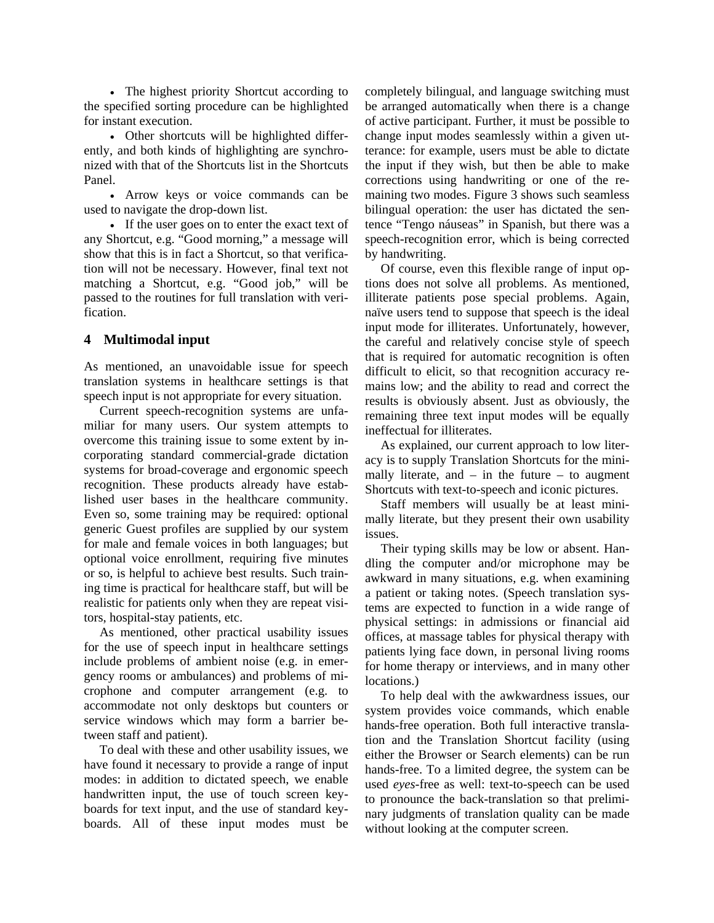• The highest priority Shortcut according to the specified sorting procedure can be highlighted for instant execution.

• Other shortcuts will be highlighted differently, and both kinds of highlighting are synchronized with that of the Shortcuts list in the Shortcuts Panel.

• Arrow keys or voice commands can be used to navigate the drop-down list.

• If the user goes on to enter the exact text of any Shortcut, e.g. "Good morning," a message will show that this is in fact a Shortcut, so that verification will not be necessary. However, final text not matching a Shortcut, e.g. "Good job," will be passed to the routines for full translation with verification.

## **4 Multimodal input**

As mentioned, an unavoidable issue for speech translation systems in healthcare settings is that speech input is not appropriate for every situation.

Current speech-recognition systems are unfamiliar for many users. Our system attempts to overcome this training issue to some extent by incorporating standard commercial-grade dictation systems for broad-coverage and ergonomic speech recognition. These products already have established user bases in the healthcare community. Even so, some training may be required: optional generic Guest profiles are supplied by our system for male and female voices in both languages; but optional voice enrollment, requiring five minutes or so, is helpful to achieve best results. Such training time is practical for healthcare staff, but will be realistic for patients only when they are repeat visitors, hospital-stay patients, etc.

As mentioned, other practical usability issues for the use of speech input in healthcare settings include problems of ambient noise (e.g. in emergency rooms or ambulances) and problems of microphone and computer arrangement (e.g. to accommodate not only desktops but counters or service windows which may form a barrier between staff and patient).

To deal with these and other usability issues, we have found it necessary to provide a range of input modes: in addition to dictated speech, we enable handwritten input, the use of touch screen keyboards for text input, and the use of standard keyboards. All of these input modes must be completely bilingual, and language switching must be arranged automatically when there is a change of active participant. Further, it must be possible to change input modes seamlessly within a given utterance: for example, users must be able to dictate the input if they wish, but then be able to make corrections using handwriting or one of the remaining two modes. Figure 3 shows such seamless bilingual operation: the user has dictated the sentence "Tengo náuseas" in Spanish, but there was a speech-recognition error, which is being corrected by handwriting.

Of course, even this flexible range of input options does not solve all problems. As mentioned, illiterate patients pose special problems. Again, naïve users tend to suppose that speech is the ideal input mode for illiterates. Unfortunately, however, the careful and relatively concise style of speech that is required for automatic recognition is often difficult to elicit, so that recognition accuracy remains low; and the ability to read and correct the results is obviously absent. Just as obviously, the remaining three text input modes will be equally ineffectual for illiterates.

As explained, our current approach to low literacy is to supply Translation Shortcuts for the minimally literate, and  $-$  in the future  $-$  to augment Shortcuts with text-to-speech and iconic pictures.

Staff members will usually be at least minimally literate, but they present their own usability issues.

Their typing skills may be low or absent. Handling the computer and/or microphone may be awkward in many situations, e.g. when examining a patient or taking notes. (Speech translation systems are expected to function in a wide range of physical settings: in admissions or financial aid offices, at massage tables for physical therapy with patients lying face down, in personal living rooms for home therapy or interviews, and in many other locations.)

To help deal with the awkwardness issues, our system provides voice commands, which enable hands-free operation. Both full interactive translation and the Translation Shortcut facility (using either the Browser or Search elements) can be run hands-free. To a limited degree, the system can be used *eyes*-free as well: text-to-speech can be used to pronounce the back-translation so that preliminary judgments of translation quality can be made without looking at the computer screen.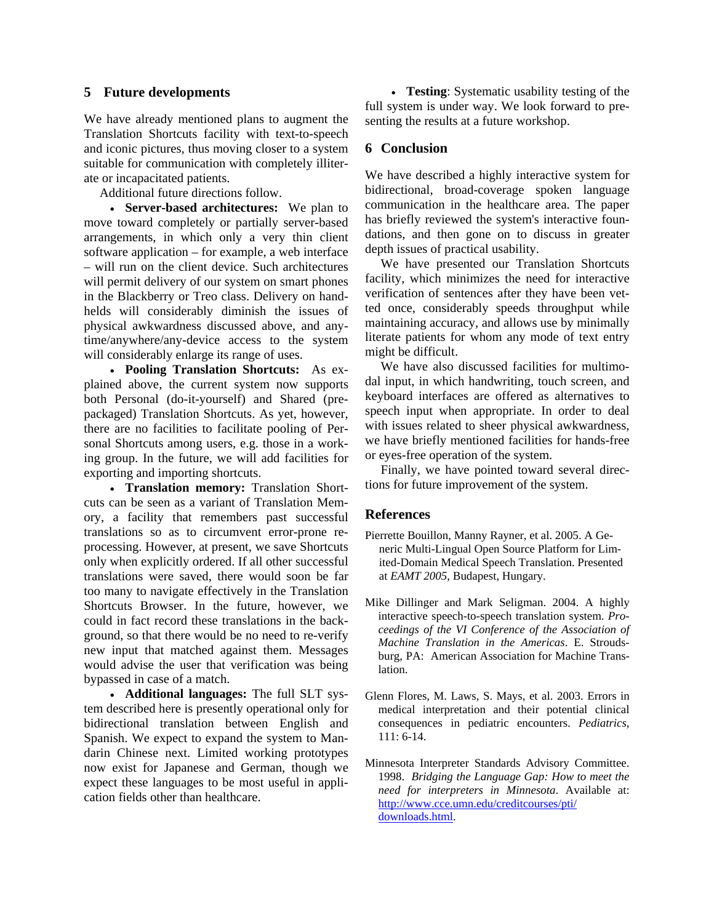#### **5 Future developments**

We have already mentioned plans to augment the Translation Shortcuts facility with text-to-speech and iconic pictures, thus moving closer to a system suitable for communication with completely illiterate or incapacitated patients.

Additional future directions follow.

• **Server-based architectures:** We plan to move toward completely or partially server-based arrangements, in which only a very thin client software application – for example, a web interface – will run on the client device. Such architectures will permit delivery of our system on smart phones in the Blackberry or Treo class. Delivery on handhelds will considerably diminish the issues of physical awkwardness discussed above, and anytime/anywhere/any-device access to the system will considerably enlarge its range of uses.

• **Pooling Translation Shortcuts:** As explained above, the current system now supports both Personal (do-it-yourself) and Shared (prepackaged) Translation Shortcuts. As yet, however, there are no facilities to facilitate pooling of Personal Shortcuts among users, e.g. those in a working group. In the future, we will add facilities for exporting and importing shortcuts.

• **Translation memory:** Translation Shortcuts can be seen as a variant of Translation Memory, a facility that remembers past successful translations so as to circumvent error-prone reprocessing. However, at present, we save Shortcuts only when explicitly ordered. If all other successful translations were saved, there would soon be far too many to navigate effectively in the Translation Shortcuts Browser. In the future, however, we could in fact record these translations in the background, so that there would be no need to re-verify new input that matched against them. Messages would advise the user that verification was being bypassed in case of a match.

• **Additional languages:** The full SLT system described here is presently operational only for bidirectional translation between English and Spanish. We expect to expand the system to Mandarin Chinese next. Limited working prototypes now exist for Japanese and German, though we expect these languages to be most useful in application fields other than healthcare.

• **Testing**: Systematic usability testing of the full system is under way. We look forward to presenting the results at a future workshop.

#### **6 Conclusion**

We have described a highly interactive system for bidirectional, broad-coverage spoken language communication in the healthcare area. The paper has briefly reviewed the system's interactive foundations, and then gone on to discuss in greater depth issues of practical usability.

We have presented our Translation Shortcuts facility, which minimizes the need for interactive verification of sentences after they have been vetted once, considerably speeds throughput while maintaining accuracy, and allows use by minimally literate patients for whom any mode of text entry might be difficult.

We have also discussed facilities for multimodal input, in which handwriting, touch screen, and keyboard interfaces are offered as alternatives to speech input when appropriate. In order to deal with issues related to sheer physical awkwardness, we have briefly mentioned facilities for hands-free or eyes-free operation of the system.

Finally, we have pointed toward several directions for future improvement of the system.

#### **References**

- Pierrette Bouillon, Manny Rayner, et al. 2005. A Generic Multi-Lingual Open Source Platform for Limited-Domain Medical Speech Translation. Presented at *EAMT 2005*, Budapest, Hungary.
- Mike Dillinger and Mark Seligman. 2004. A highly interactive speech-to-speech translation system. *Proceedings of the VI Conference of the Association of Machine Translation in the Americas*. E. Stroudsburg, PA: American Association for Machine Translation.
- Glenn Flores, M. Laws, S. Mays, et al. 2003. Errors in medical interpretation and their potential clinical consequences in pediatric encounters. *Pediatrics*, 111: 6-14.
- Minnesota Interpreter Standards Advisory Committee. 1998. *Bridging the Language Gap: How to meet the need for interpreters in Minnesota*. Available at: [http://www.cce.umn.edu/creditcourses/pti/](http://www.cce.umn.edu/creditcourses/pti/%20downloads.html)  [downloads.html.](http://www.cce.umn.edu/creditcourses/pti/%20downloads.html)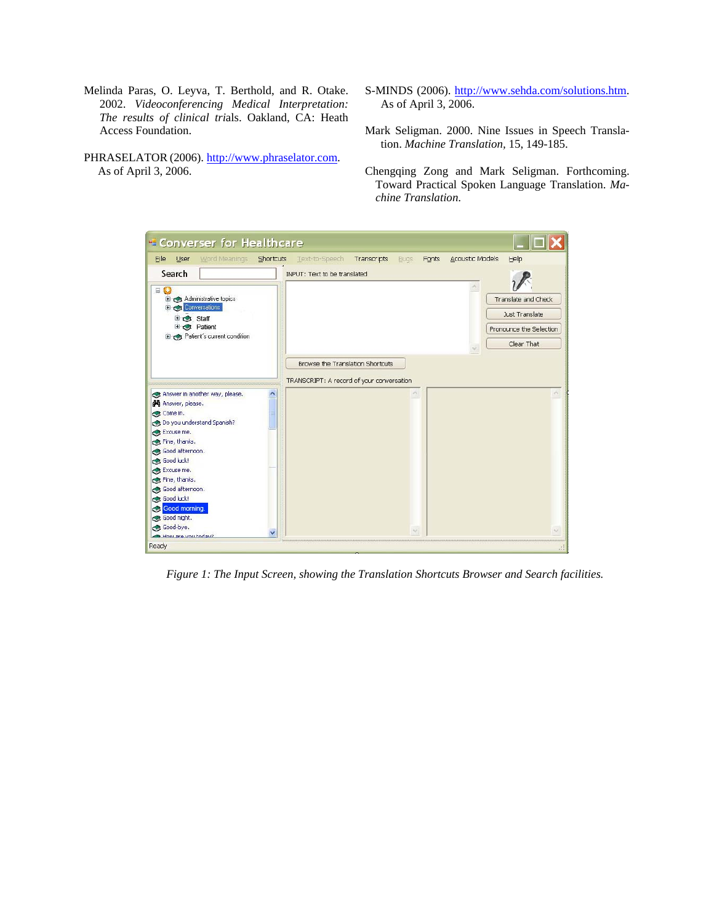- Melinda Paras, O. Leyva, T. Berthold, and R. Otake. 2002. *Videoconferencing Medical Interpretation: The results of clinical tri*als. Oakland, CA: Heath Access Foundation.
- PHRASELATOR (2006). [http://www.phraselator.com.](http://www.phraselator.com/) As of April 3, 2006.
- S-MINDS (2006). [http://www.sehda.com/solutions.htm.](http://www.sehda.com/solutions.htm) As of April 3, 2006.
- Mark Seligman. 2000. Nine Issues in Speech Translation. *Machine Translation,* 15, 149-185.
- Chengqing Zong and Mark Seligman. Forthcoming. Toward Practical Spoken Language Translation. *Machine Translation*.



*Figure 1: The Input Screen, showing the Translation Shortcuts Browser and Search facilities.*